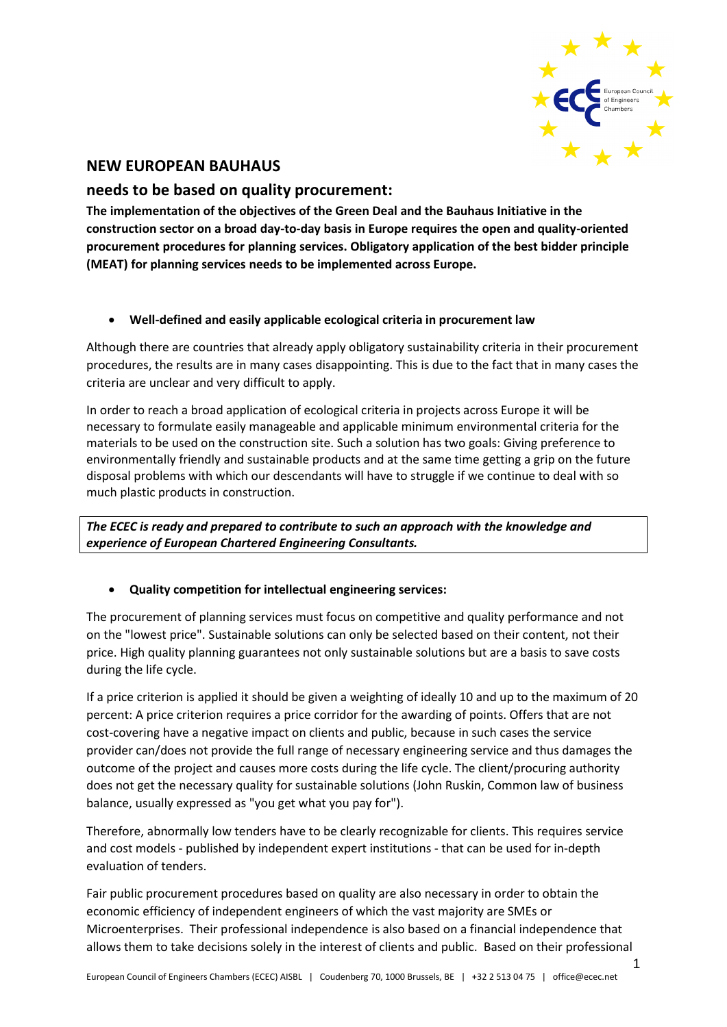

# **NEW EUROPEAN BAUHAUS**

## **needs to be based on quality procurement:**

**The implementation of the objectives of the Green Deal and the Bauhaus Initiative in the construction sector on a broad day-to-day basis in Europe requires the open and quality-oriented procurement procedures for planning services. Obligatory application of the best bidder principle (MEAT) for planning services needs to be implemented across Europe.**

### • **Well-defined and easily applicable ecological criteria in procurement law**

Although there are countries that already apply obligatory sustainability criteria in their procurement procedures, the results are in many cases disappointing. This is due to the fact that in many cases the criteria are unclear and very difficult to apply.

In order to reach a broad application of ecological criteria in projects across Europe it will be necessary to formulate easily manageable and applicable minimum environmental criteria for the materials to be used on the construction site. Such a solution has two goals: Giving preference to environmentally friendly and sustainable products and at the same time getting a grip on the future disposal problems with which our descendants will have to struggle if we continue to deal with so much plastic products in construction.

*The ECEC is ready and prepared to contribute to such an approach with the knowledge and experience of European Chartered Engineering Consultants.*

### • **Quality competition for intellectual engineering services:**

The procurement of planning services must focus on competitive and quality performance and not on the "lowest price". Sustainable solutions can only be selected based on their content, not their price. High quality planning guarantees not only sustainable solutions but are a basis to save costs during the life cycle.

If a price criterion is applied it should be given a weighting of ideally 10 and up to the maximum of 20 percent: A price criterion requires a price corridor for the awarding of points. Offers that are not cost-covering have a negative impact on clients and public, because in such cases the service provider can/does not provide the full range of necessary engineering service and thus damages the outcome of the project and causes more costs during the life cycle. The client/procuring authority does not get the necessary quality for sustainable solutions (John Ruskin, Common law of business balance, usually expressed as "you get what you pay for").

Therefore, abnormally low tenders have to be clearly recognizable for clients. This requires service and cost models - published by independent expert institutions - that can be used for in-depth evaluation of tenders.

Fair public procurement procedures based on quality are also necessary in order to obtain the economic efficiency of independent engineers of which the vast majority are SMEs or Microenterprises. Their professional independence is also based on a financial independence that allows them to take decisions solely in the interest of clients and public. Based on their professional

1